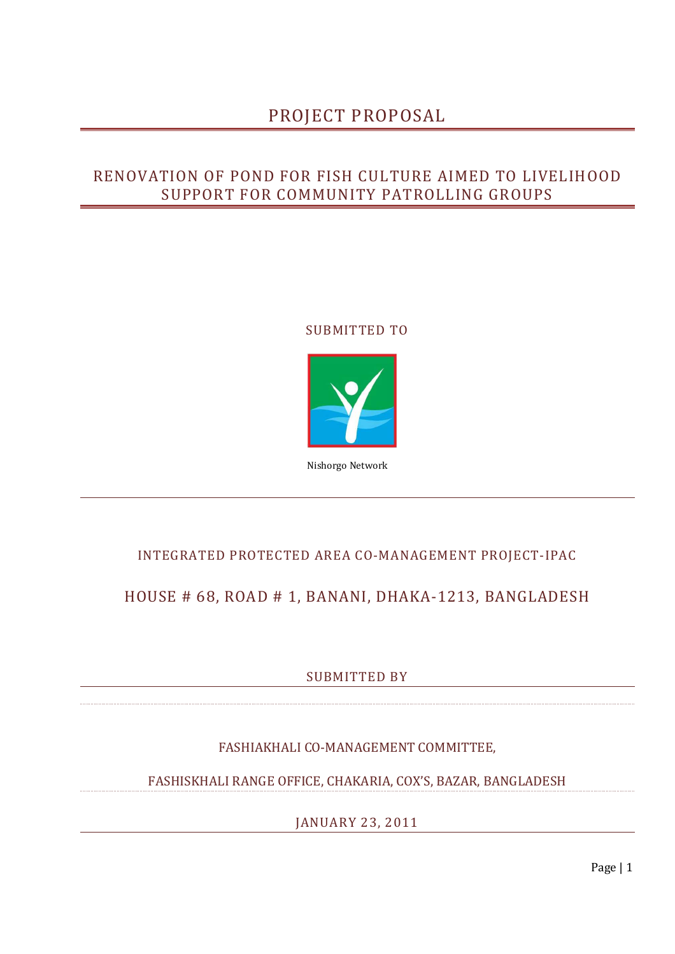# PROJECT PROPOSAL

## RENOVATION OF POND FOR FISH CULTURE AIMED TO LIVELIHOOD SUPPORT FOR COMMUNITY PATROLLING GROUPS

### SUBMITTED TO



Nishorgo Network

## INTEGRATED PROTECTED AREA CO-MANAGEMENT PROJECT-IPAC

## HOUSE # 68, ROAD # 1, BANANI, DHAKA-1213, BANGLADESH

SUBMITTED BY

FASHIAKHALI CO-MANAGEMENT COMMITTEE,

FASHISKHALI RANGE OFFICE, CHAKARIA, COX'S, BAZAR, BANGLADESH

JANUARY 23, 2011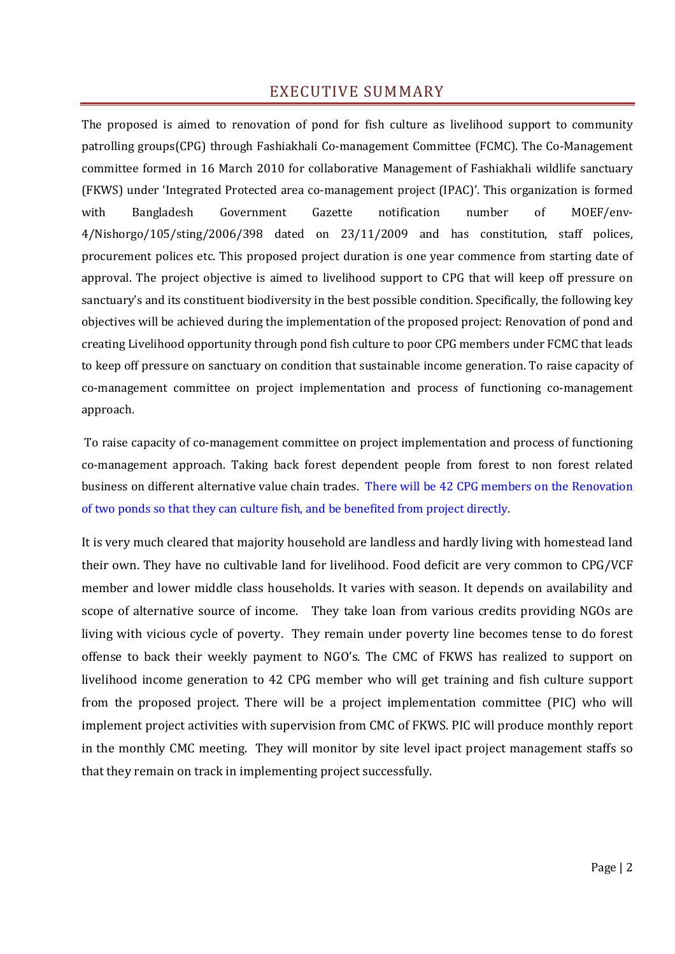### EXECUTIVE SUMMARY

The proposed is aimed to renovation of pond for fish culture as livelihood support to community patrolling groups(CPG) through Fashiakhali Co-management Committee (FCMC). The Co-Management committee formed in 16 March 2010 for collaborative Management of Fashiakhali wildlife sanctuary (FKWS) under 'Integrated Protected area co-management project (IPAC)'. This organization is formed with Bangladesh Government Gazette notification number of MOEF/env-4/Nishorgo/105/sting/2006/398 dated on 23/11/2009 and has constitution, staff polices, procurement polices etc. This proposed project duration is one year commence from starting date of approval. The project objective is aimed to livelihood support to CPG that will keep off pressure on sanctuary's and its constituent biodiversity in the best possible condition. Specifically, the following key objectives will be achieved during the implementation of the proposed project: Renovation of pond and creating Livelihood opportunity through pond fish culture to poor CPG members under FCMC that leads to keep off pressure on sanctuary on condition that sustainable income generation. To raise capacity of co-management committee on project implementation and process of functioning co-management approach.

 To raise capacity of co-management committee on project implementation and process of functioning co-management approach. Taking back forest dependent people from forest to non forest related business on different alternative value chain trades. There will be 42 CPG members on the Renovation of two ponds so that they can culture fish, and be benefited from project directly.

It is very much cleared that majority household are landless and hardly living with homestead land their own. They have no cultivable land for livelihood. Food deficit are very common to CPG/VCF member and lower middle class households. It varies with season. It depends on availability and scope of alternative source of income. They take loan from various credits providing NGOs are living with vicious cycle of poverty. They remain under poverty line becomes tense to do forest offense to back their weekly payment to NGO's. The CMC of FKWS has realized to support on livelihood income generation to 42 CPG member who will get training and fish culture support from the proposed project. There will be a project implementation committee (PIC) who will implement project activities with supervision from CMC of FKWS. PIC will produce monthly report in the monthly CMC meeting. They will monitor by site level ipact project management staffs so that they remain on track in implementing project successfully.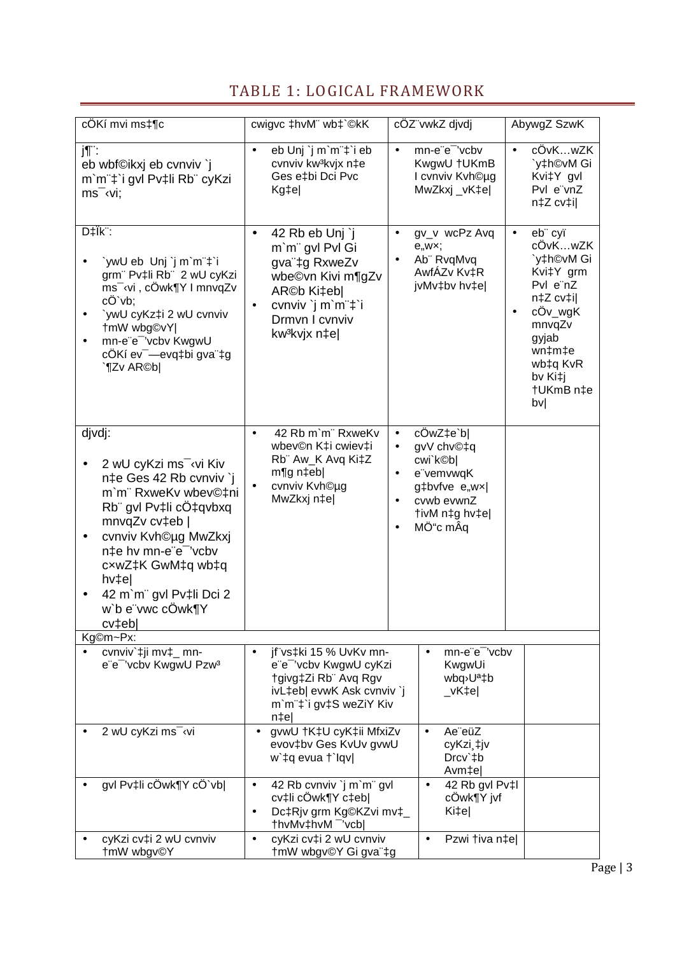# TABLE 1: LOGICAL FRAMEWORK

| cÖKí mvi ms‡¶c                                                                                                                                                                                                                                                                            | cwigvc ‡hvM" wb‡`©kK                                                                                                                                                                 | cÖZ"vwkZ divdi                                                                                                                                                    | AbywgZ SzwK                                                                                                                                                                          |
|-------------------------------------------------------------------------------------------------------------------------------------------------------------------------------------------------------------------------------------------------------------------------------------------|--------------------------------------------------------------------------------------------------------------------------------------------------------------------------------------|-------------------------------------------------------------------------------------------------------------------------------------------------------------------|--------------------------------------------------------------------------------------------------------------------------------------------------------------------------------------|
| j¶¨:<br>eb wbf©ikxj eb cvnviv `j<br>m`m¨‡`i gvl Pv‡li Rb¨ cyKzi<br>$ms^-$ (vi;                                                                                                                                                                                                            | eb Unj `j m`m"‡`i eb<br>$\bullet$<br>cvnviv kw <sup>3</sup> kvjx n‡e<br>Ges e‡bi Dci Pvc<br>Kg‡e                                                                                     | mn-e"e" 'vcbv<br>$\bullet$<br>KwgwU †UKmB<br>I cvnviv Kvh©ug<br>MwZkxj_vK‡e                                                                                       | cÖvKwZK<br>`y‡h©vM Gi<br>Kvi‡Y gvl<br>Pvl e"vnZ<br>n‡Z cv‡i                                                                                                                          |
| D‡Ïk <sup>:</sup> :<br>`ywU eb Unj`j m`m¨‡`i<br>grm" Pv‡li Rb" 2 wU cyKzi<br>ms <sup>-</sup> vi, cÖwk¶Y I mnvqZv<br>cÔ`vb;<br>`ywU cyKz‡i 2 wU cvnviv<br>†mW wbg©vY <br>mn-e"e" 'vcbv KwgwU<br>cÖKí ev <sup>-</sup> —evq‡bi gva <sup>"</sup> ‡g<br>`¶Zv AR©b                              | 42 Rb eb Unj `j<br>$\bullet$<br>m'm" gvl Pvl Gi<br>gva"‡g RxweZv<br>wbe©vn Kivi m¶gZv<br>ARC <sub>b</sub> Ki‡eb <br>cvnviv `j m`m"‡`i<br>Drmvn I cvnviv<br>kw <sup>3</sup> kvjx n‡el | gv_v wcPz Avq<br>$\bullet$<br>e, wx;<br>Ab" RvgMvg<br>AwfÁZv Kv‡R<br>jvMv‡bv hv‡e                                                                                 | eb" cyï<br>$\bullet$<br>cÖvKwZK<br>`y‡h©vM Gi<br>Kvi‡Y grm<br>Pvl e"nZ<br>n‡Z cv‡i <br>$cOv_wgK$<br>$\bullet$<br>mnvqZv<br>gyjab<br>wn‡m‡e<br>wb‡q KvR<br>bv Ki‡j<br>†UKmB n‡e<br>bv |
| djvdj:<br>2 wU cyKzi ms <sup>-</sup> vi Kiv<br>n‡e Ges 42 Rb cvnviv `j<br>m'm" RxweKv wbev©‡ni<br>Rb" gvl Pv‡li cÔ‡qvbxq<br>mnvqZv cv‡eb  <br>cvnviv Kvh©µg MwZkxj<br>n‡e hv mn-e"e" 'vcbv<br>cxwZ‡K GwM‡q wb‡q<br>$h$ $v$ ‡e $ $<br>42 m'm" gvl Pv‡li Dci 2<br>w`b e"vwc cOwk¶Y<br>cv‡eb | 42 Rb m'm" RxweKv<br>$\bullet$<br>wbev©n K‡i cwiev‡i<br>Rb" Aw_K Avq Ki‡Z<br>$m$ g n $\pm$ eb <br>cvnviv Kvh©ug<br>MwZkxj n‡e                                                        | cÖwZ‡e`b <br>$\bullet$<br>gvV chv©‡q<br>$\bullet$<br>cwi`k©b <br>e"vemvwqK<br>$\bullet$<br>g‡bvfve e"wx <br>cvwb evwnZ<br>$\bullet$<br>tivM n‡g hv‡e <br>MÖ"c mÂq |                                                                                                                                                                                      |
| Kg©m~Px:                                                                                                                                                                                                                                                                                  |                                                                                                                                                                                      |                                                                                                                                                                   |                                                                                                                                                                                      |
| cvnviv`‡ji mv‡_ mn-<br>e"e" 'vcbv KwgwU Pzw3                                                                                                                                                                                                                                              | jf"vs‡ki 15 % UvKv mn-<br>$\bullet$<br>e"e" 'vcbv KwgwU cyKzi<br>tgivg‡Zi Rb" Avq Rgv<br>ivL‡eb  evwK Ask cvnviv `j<br>m'm"‡'i gv‡S weZiY Kiv<br>$n \neq e$                          | mn-e"e" 'vcbv<br>$\bullet$<br>KwgwUi<br>wbq <sup>,</sup> U <sup>a</sup> ‡b<br>$_v$ K‡e $ $                                                                        |                                                                                                                                                                                      |
| 2 wU cyKzi ms <sup>- (vi</sup>                                                                                                                                                                                                                                                            | gvwU +K‡U cyK‡ii MfxiZv<br>$\bullet$<br>evov‡bv Ges KvUv gvwU<br>w`‡q evua †`lqv                                                                                                     | Ae"eüZ<br>$\bullet$<br>cyKzi ‡jv<br>Drcv`‡b<br>Avm <sub>‡e</sub>                                                                                                  |                                                                                                                                                                                      |
| gvl Pv‡li cÖwk¶Y cÖ`vb                                                                                                                                                                                                                                                                    | 42 Rb cvnviv `j m`m" gvl<br>$\bullet$<br>cv‡li cÖwk¶Y c‡eb <br>Dc‡Rjv grm Kg©KZvi mv‡_<br>$\bullet$<br>thvMv‡hvM <sup>-</sup> 'vcb                                                   | 42 Rb gvl Pv‡l<br>$\bullet$<br>cÖwk¶Y jvf<br>Ki‡e                                                                                                                 |                                                                                                                                                                                      |
| cyKzi cv‡i 2 wU cvnviv<br>†mW wbgv©Y                                                                                                                                                                                                                                                      | cyKzi cv‡i 2 wU cvnviv<br>$\bullet$<br>†mW wbgv©Y Gi gva"‡g                                                                                                                          | Pzwi tiva n‡e <br>$\bullet$                                                                                                                                       |                                                                                                                                                                                      |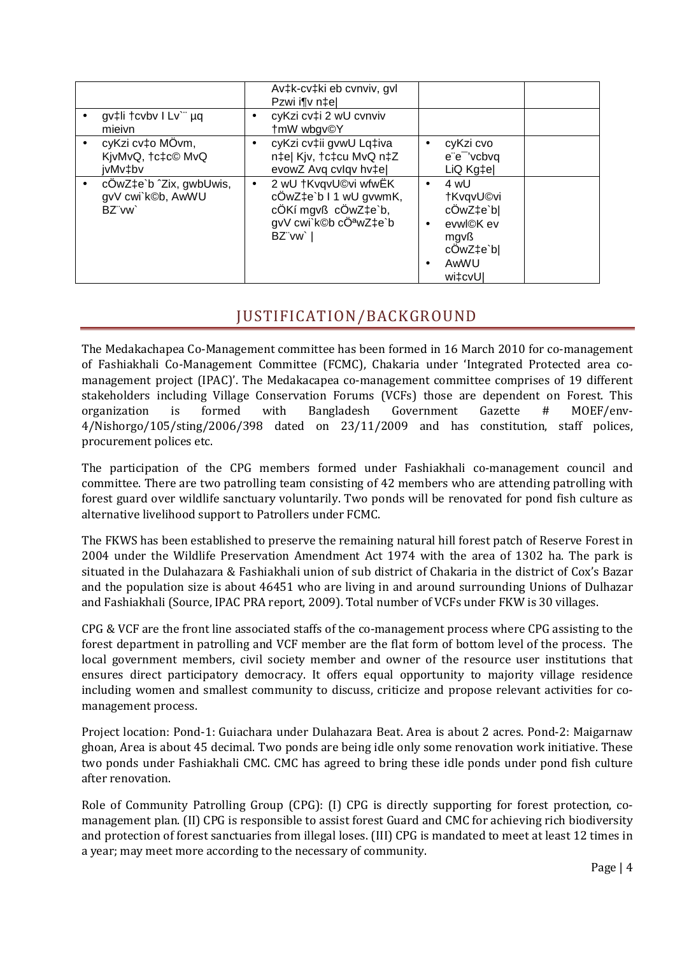| gv‡li †cvbv I Lv`¨ µq<br>mieivn                       | ٠         | Av‡k-cv‡ki eb cvnviv, gvl<br>Pzwi i¶v n‡el<br>cyKzi cv‡i 2 wU cvnviv<br>tmW wbgv©Y                                    |                        |                                                                                     |  |
|-------------------------------------------------------|-----------|-----------------------------------------------------------------------------------------------------------------------|------------------------|-------------------------------------------------------------------------------------|--|
| cyKzi cv‡o MÖvm,<br>KivMvQ, †c‡c© MvQ<br>jvMv‡bv      | $\bullet$ | cyKzi cv‡ii gvwU Lq‡iva<br>n‡e  Kjv, †c‡cu MvQ n‡Z<br>evowZ Avq cvlqv hv‡e                                            | $\bullet$              | cyKzi cvo<br>e"e" 'vcbvq<br>LiQ Kg‡el                                               |  |
| cÔwZ‡e`b ^Zix, gwbUwis,<br>gvV cwi`k©b, AwWU<br>BZ"vw | $\bullet$ | 2 wU +KvqvU©vi wfwEK<br>cÖwZ‡e`b I 1 wU gvwmK,<br>cÖKí mgvß cÖwZ‡e`b,<br>gvV cwi k©b cÖ <sup>a</sup> wZ‡e`b<br>BZ"vw` | $\bullet$<br>$\bullet$ | 4 wU<br>†KvqvU©vi<br>cÖwZ‡e`b <br>evwl©K ev<br>mgvß<br>cÔwZ‡e`b <br>AwWU<br>wi‡cvUl |  |

### JUSTIFICATION/BACKGROUND

The Medakachapea Co-Management committee has been formed in 16 March 2010 for co-management of Fashiakhali Co-Management Committee (FCMC), Chakaria under 'Integrated Protected area comanagement project (IPAC)'. The Medakacapea co-management committee comprises of 19 different stakeholders including Village Conservation Forums (VCFs) those are dependent on Forest. This organization is formed with Bangladesh Government Gazette # MOEF/env-4/Nishorgo/105/sting/2006/398 dated on 23/11/2009 and has constitution, staff polices, procurement polices etc.

The participation of the CPG members formed under Fashiakhali co-management council and committee. There are two patrolling team consisting of 42 members who are attending patrolling with forest guard over wildlife sanctuary voluntarily. Two ponds will be renovated for pond fish culture as alternative livelihood support to Patrollers under FCMC.

The FKWS has been established to preserve the remaining natural hill forest patch of Reserve Forest in 2004 under the Wildlife Preservation Amendment Act 1974 with the area of 1302 ha. The park is situated in the Dulahazara & Fashiakhali union of sub district of Chakaria in the district of Cox's Bazar and the population size is about 46451 who are living in and around surrounding Unions of Dulhazar and Fashiakhali (Source, IPAC PRA report, 2009). Total number of VCFs under FKW is 30 villages.

CPG & VCF are the front line associated staffs of the co-management process where CPG assisting to the forest department in patrolling and VCF member are the flat form of bottom level of the process. The local government members, civil society member and owner of the resource user institutions that ensures direct participatory democracy. It offers equal opportunity to majority village residence including women and smallest community to discuss, criticize and propose relevant activities for comanagement process.

Project location: Pond-1: Guiachara under Dulahazara Beat. Area is about 2 acres. Pond-2: Maigarnaw ghoan, Area is about 45 decimal. Two ponds are being idle only some renovation work initiative. These two ponds under Fashiakhali CMC. CMC has agreed to bring these idle ponds under pond fish culture after renovation.

Role of Community Patrolling Group (CPG): (I) CPG is directly supporting for forest protection, comanagement plan. (II) CPG is responsible to assist forest Guard and CMC for achieving rich biodiversity and protection of forest sanctuaries from illegal loses. (III) CPG is mandated to meet at least 12 times in a year; may meet more according to the necessary of community.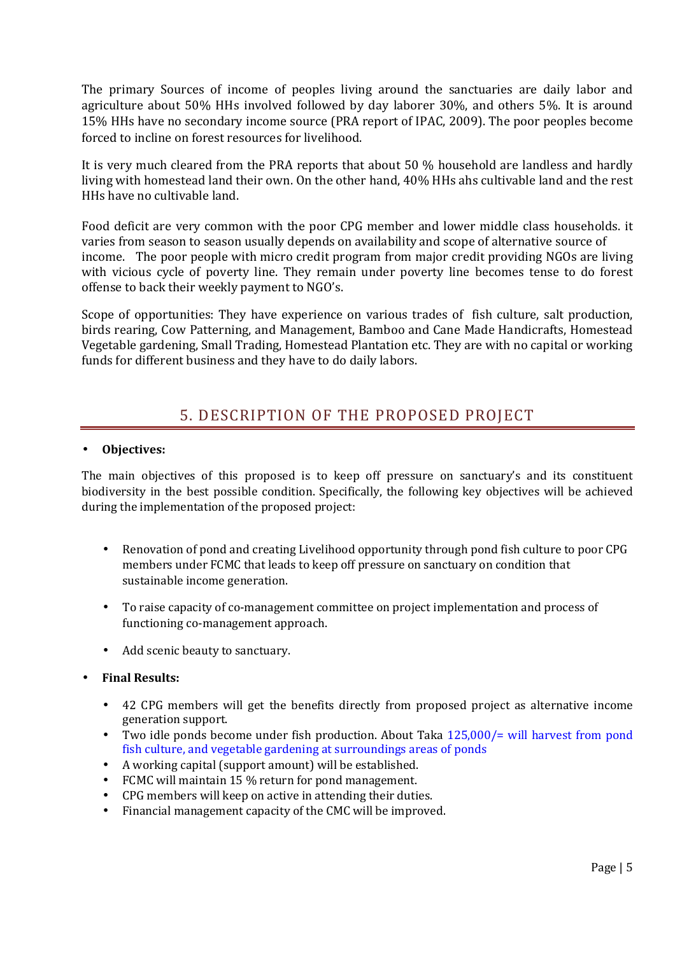The primary Sources of income of peoples living around the sanctuaries are daily labor and agriculture about 50% HHs involved followed by day laborer 30%, and others 5%. It is around 15% HHs have no secondary income source (PRA report of IPAC, 2009). The poor peoples become forced to incline on forest resources for livelihood.

It is very much cleared from the PRA reports that about 50 % household are landless and hardly living with homestead land their own. On the other hand, 40% HHs ahs cultivable land and the rest HHs have no cultivable land.

Food deficit are very common with the poor CPG member and lower middle class households. it varies from season to season usually depends on availability and scope of alternative source of income. The poor people with micro credit program from major credit providing NGOs are living with vicious cycle of poverty line. They remain under poverty line becomes tense to do forest offense to back their weekly payment to NGO's.

Scope of opportunities: They have experience on various trades of fish culture, salt production, birds rearing, Cow Patterning, and Management, Bamboo and Cane Made Handicrafts, Homestead Vegetable gardening, Small Trading, Homestead Plantation etc. They are with no capital or working funds for different business and they have to do daily labors.

## 5. DESCRIPTION OF THE PROPOSED PROJECT

#### • **Objectives:**

The main objectives of this proposed is to keep off pressure on sanctuary's and its constituent biodiversity in the best possible condition. Specifically, the following key objectives will be achieved during the implementation of the proposed project:

- Renovation of pond and creating Livelihood opportunity through pond fish culture to poor CPG members under FCMC that leads to keep off pressure on sanctuary on condition that sustainable income generation.
- To raise capacity of co-management committee on project implementation and process of functioning co-management approach.
- Add scenic beauty to sanctuary.
- **Final Results:** 
	- 42 CPG members will get the benefits directly from proposed project as alternative income generation support.
	- Two idle ponds become under fish production. About Taka 125,000/= will harvest from pond fish culture, and vegetable gardening at surroundings areas of ponds
	- A working capital (support amount) will be established.
	- FCMC will maintain 15 % return for pond management.
	- CPG members will keep on active in attending their duties.
	- Financial management capacity of the CMC will be improved.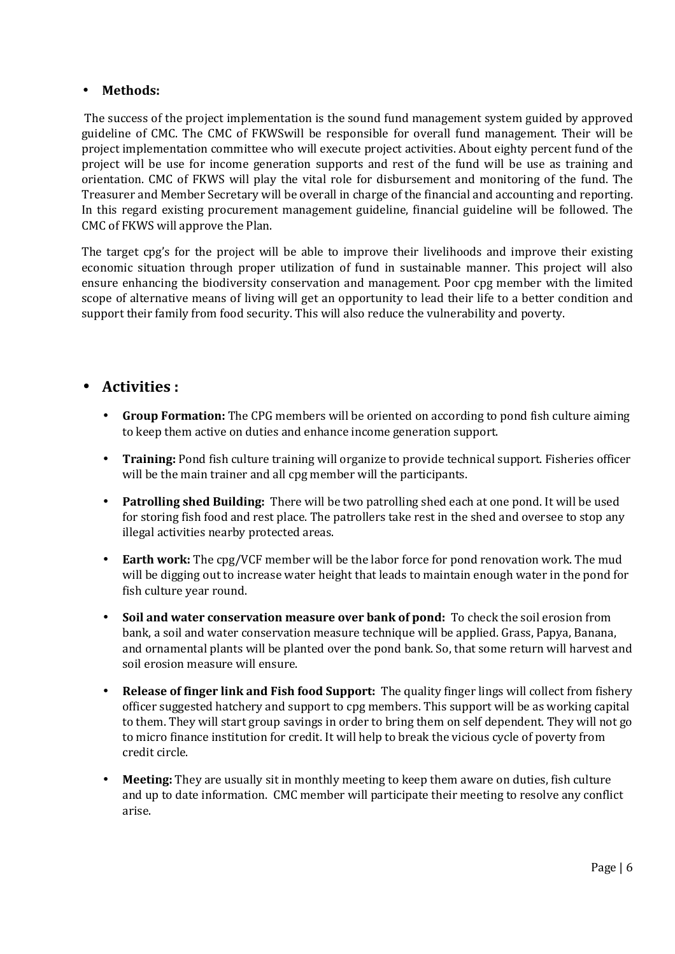#### • **Methods:**

 The success of the project implementation is the sound fund management system guided by approved guideline of CMC. The CMC of FKWSwill be responsible for overall fund management. Their will be project implementation committee who will execute project activities. About eighty percent fund of the project will be use for income generation supports and rest of the fund will be use as training and orientation. CMC of FKWS will play the vital role for disbursement and monitoring of the fund. The Treasurer and Member Secretary will be overall in charge of the financial and accounting and reporting. In this regard existing procurement management guideline, financial guideline will be followed. The CMC of FKWS will approve the Plan.

The target cpg's for the project will be able to improve their livelihoods and improve their existing economic situation through proper utilization of fund in sustainable manner. This project will also ensure enhancing the biodiversity conservation and management. Poor cpg member with the limited scope of alternative means of living will get an opportunity to lead their life to a better condition and support their family from food security. This will also reduce the vulnerability and poverty.

### • **Activities :**

- **Group Formation:** The CPG members will be oriented on according to pond fish culture aiming to keep them active on duties and enhance income generation support.
- **Training:** Pond fish culture training will organize to provide technical support. Fisheries officer will be the main trainer and all cpg member will the participants.
- **Patrolling shed Building:** There will be two patrolling shed each at one pond. It will be used for storing fish food and rest place. The patrollers take rest in the shed and oversee to stop any illegal activities nearby protected areas.
- **Earth work:** The cpg/VCF member will be the labor force for pond renovation work. The mud will be digging out to increase water height that leads to maintain enough water in the pond for fish culture year round.
- **Soil and water conservation measure over bank of pond:** To check the soil erosion from bank, a soil and water conservation measure technique will be applied. Grass, Papya, Banana, and ornamental plants will be planted over the pond bank. So, that some return will harvest and soil erosion measure will ensure.
- **Release of finger link and Fish food Support:** The quality finger lings will collect from fishery officer suggested hatchery and support to cpg members. This support will be as working capital to them. They will start group savings in order to bring them on self dependent. They will not go to micro finance institution for credit. It will help to break the vicious cycle of poverty from credit circle.
- **Meeting:** They are usually sit in monthly meeting to keep them aware on duties, fish culture and up to date information. CMC member will participate their meeting to resolve any conflict arise.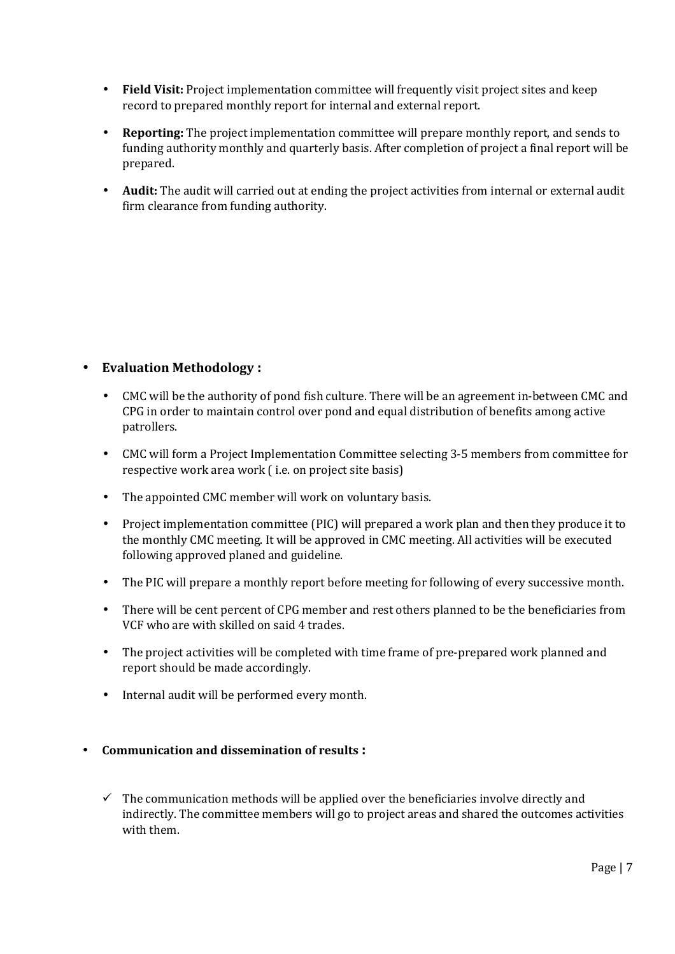- **Field Visit:** Project implementation committee will frequently visit project sites and keep record to prepared monthly report for internal and external report.
- **Reporting:** The project implementation committee will prepare monthly report, and sends to funding authority monthly and quarterly basis. After completion of project a final report will be prepared.
- **Audit:** The audit will carried out at ending the project activities from internal or external audit firm clearance from funding authority.

### • **Evaluation Methodology :**

- CMC will be the authority of pond fish culture. There will be an agreement in-between CMC and CPG in order to maintain control over pond and equal distribution of benefits among active patrollers.
- CMC will form a Project Implementation Committee selecting 3-5 members from committee for respective work area work ( i.e. on project site basis)
- The appointed CMC member will work on voluntary basis.
- Project implementation committee (PIC) will prepared a work plan and then they produce it to the monthly CMC meeting. It will be approved in CMC meeting. All activities will be executed following approved planed and guideline.
- The PIC will prepare a monthly report before meeting for following of every successive month.
- There will be cent percent of CPG member and rest others planned to be the beneficiaries from VCF who are with skilled on said 4 trades.
- The project activities will be completed with time frame of pre-prepared work planned and report should be made accordingly.
- Internal audit will be performed every month.

#### • **Communication and dissemination of results :**

 $\checkmark$  The communication methods will be applied over the beneficiaries involve directly and indirectly. The committee members will go to project areas and shared the outcomes activities with them.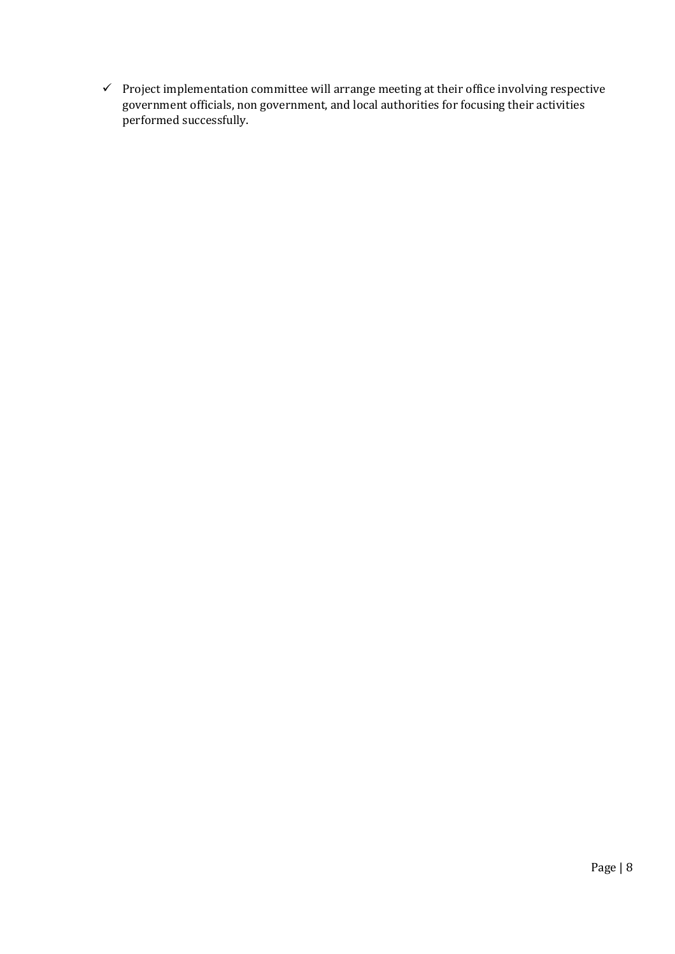$\checkmark$  Project implementation committee will arrange meeting at their office involving respective government officials, non government, and local authorities for focusing their activities performed successfully.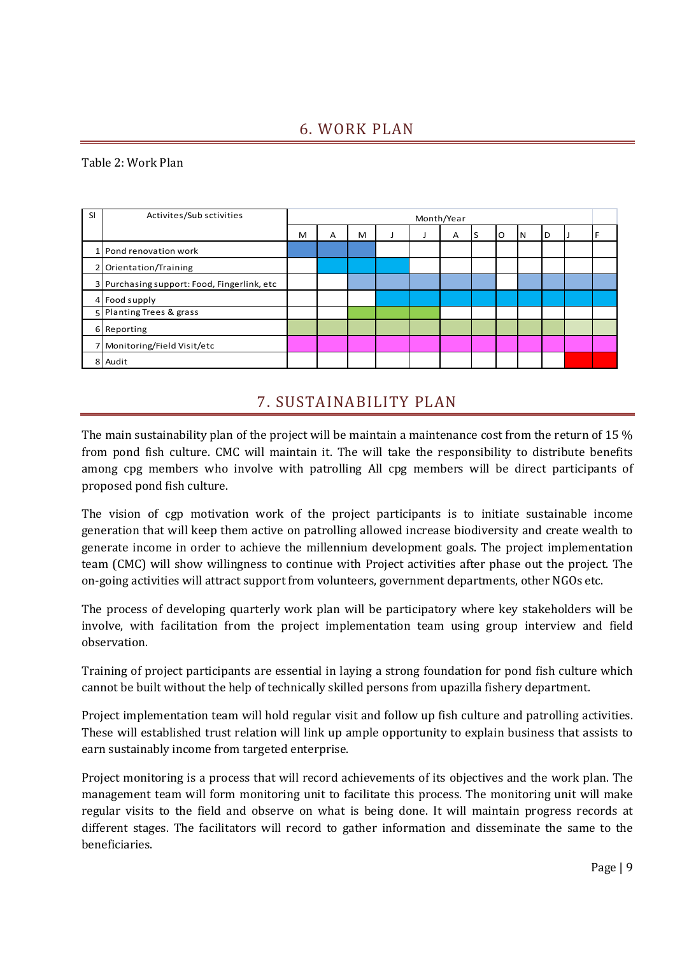## 6. WORK PLAN

#### Table 2: Work Plan

| SI | Activites/Sub sctivities                    | Month/Year |   |   |  |  |   |   |   |    |   |  |  |
|----|---------------------------------------------|------------|---|---|--|--|---|---|---|----|---|--|--|
|    |                                             | м          | A | м |  |  | A | ∍ | O | IΝ | D |  |  |
|    | 1 Pond renovation work                      |            |   |   |  |  |   |   |   |    |   |  |  |
|    | 2 Orientation/Training                      |            |   |   |  |  |   |   |   |    |   |  |  |
|    | 3 Purchasing support: Food, Fingerlink, etc |            |   |   |  |  |   |   |   |    |   |  |  |
|    | 4 Food supply                               |            |   |   |  |  |   |   |   |    |   |  |  |
|    | 5 Planting Trees & grass                    |            |   |   |  |  |   |   |   |    |   |  |  |
|    | 6 Reporting                                 |            |   |   |  |  |   |   |   |    |   |  |  |
|    | 7 Monitoring/Field Visit/etc                |            |   |   |  |  |   |   |   |    |   |  |  |
|    | 8 Audit                                     |            |   |   |  |  |   |   |   |    |   |  |  |

## 7. SUSTAINABILITY PLAN

The main sustainability plan of the project will be maintain a maintenance cost from the return of 15 % from pond fish culture. CMC will maintain it. The will take the responsibility to distribute benefits among cpg members who involve with patrolling All cpg members will be direct participants of proposed pond fish culture.

The vision of cgp motivation work of the project participants is to initiate sustainable income generation that will keep them active on patrolling allowed increase biodiversity and create wealth to generate income in order to achieve the millennium development goals. The project implementation team (CMC) will show willingness to continue with Project activities after phase out the project. The on-going activities will attract support from volunteers, government departments, other NGOs etc.

The process of developing quarterly work plan will be participatory where key stakeholders will be involve, with facilitation from the project implementation team using group interview and field observation.

Training of project participants are essential in laying a strong foundation for pond fish culture which cannot be built without the help of technically skilled persons from upazilla fishery department.

Project implementation team will hold regular visit and follow up fish culture and patrolling activities. These will established trust relation will link up ample opportunity to explain business that assists to earn sustainably income from targeted enterprise.

Project monitoring is a process that will record achievements of its objectives and the work plan. The management team will form monitoring unit to facilitate this process. The monitoring unit will make regular visits to the field and observe on what is being done. It will maintain progress records at different stages. The facilitators will record to gather information and disseminate the same to the beneficiaries.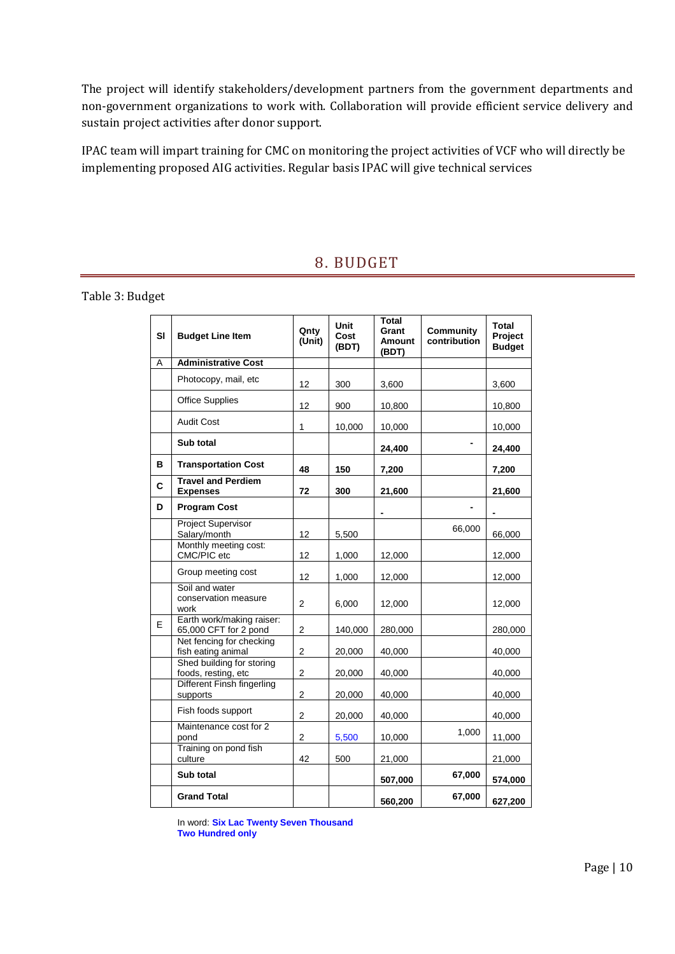The project will identify stakeholders/development partners from the government departments and non-government organizations to work with. Collaboration will provide efficient service delivery and sustain project activities after donor support.

IPAC team will impart training for CMC on monitoring the project activities of VCF who will directly be implementing proposed AIG activities. Regular basis IPAC will give technical services

### 8. BUDGET

Table 3: Budget

| SI | <b>Budget Line Item</b>                            | Qnty<br>(Unit)          | Unit<br>Cost<br>(BDT) | <b>Total</b><br>Grant<br><b>Amount</b><br>(BDT) | <b>Community</b><br>contribution | Total<br>Project<br><b>Budget</b> |
|----|----------------------------------------------------|-------------------------|-----------------------|-------------------------------------------------|----------------------------------|-----------------------------------|
| Α  | <b>Administrative Cost</b>                         |                         |                       |                                                 |                                  |                                   |
|    | Photocopy, mail, etc                               | 12                      | 300                   | 3,600                                           |                                  | 3,600                             |
|    | <b>Office Supplies</b>                             | 12                      | 900                   | 10,800                                          |                                  | 10,800                            |
|    | <b>Audit Cost</b>                                  | 1                       | 10,000                | 10,000                                          |                                  | 10,000                            |
|    | Sub total                                          |                         |                       | 24,400                                          |                                  | 24,400                            |
| в  | <b>Transportation Cost</b>                         | 48                      | 150                   | 7,200                                           |                                  | 7,200                             |
| C  | <b>Travel and Perdiem</b><br><b>Expenses</b>       | 72                      | 300                   | 21,600                                          |                                  | 21,600                            |
| D  | <b>Program Cost</b>                                |                         |                       |                                                 |                                  |                                   |
|    | <b>Project Supervisor</b><br>Salary/month          | 12                      | 5,500                 |                                                 | 66,000                           | 66,000                            |
|    | Monthly meeting cost:<br>CMC/PIC etc               | 12                      | 1,000                 | 12,000                                          |                                  | 12,000                            |
|    | Group meeting cost                                 | 12                      | 1,000                 | 12,000                                          |                                  | 12,000                            |
|    | Soil and water<br>conservation measure<br>work     | $\overline{2}$          | 6,000                 | 12,000                                          |                                  | 12,000                            |
| E  | Earth work/making raiser:<br>65,000 CFT for 2 pond | 2                       | 140,000               | 280,000                                         |                                  | 280,000                           |
|    | Net fencing for checking<br>fish eating animal     | $\overline{\mathbf{c}}$ | 20,000                | 40,000                                          |                                  | 40,000                            |
|    | Shed building for storing<br>foods, resting, etc   | 2                       | 20,000                | 40,000                                          |                                  | 40,000                            |
|    | Different Finsh fingerling<br>supports             | 2                       | 20,000                | 40,000                                          |                                  | 40,000                            |
|    | Fish foods support                                 | 2                       | 20,000                | 40,000                                          |                                  | 40,000                            |
|    | Maintenance cost for 2<br>pond                     | $\overline{\mathbf{c}}$ | 5,500                 | 10,000                                          | 1,000                            | 11,000                            |
|    | Training on pond fish<br>culture                   | 42                      | 500                   | 21,000                                          |                                  | 21,000                            |
|    | Sub total                                          |                         |                       | 507,000                                         | 67,000                           | 574,000                           |
|    | <b>Grand Total</b>                                 |                         |                       | 560,200                                         | 67,000                           | 627,200                           |

In word: **Six Lac Twenty Seven Thousand Two Hundred only**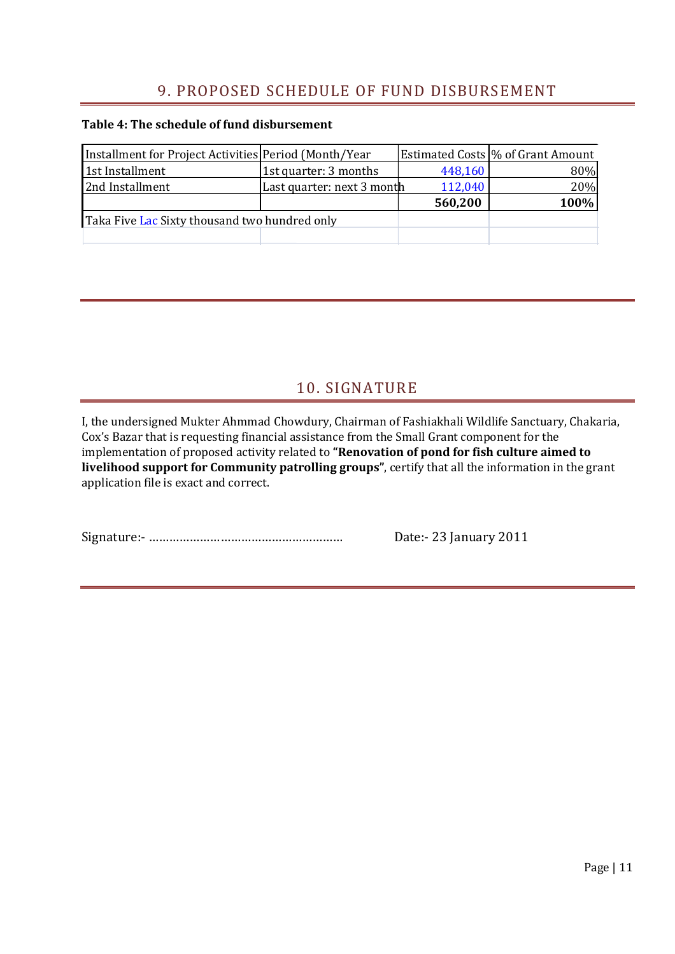## 9. PROPOSED SCHEDULE OF FUND DISBURSEMENT

#### **Table 4: The schedule of fund disbursement**

| Installment for Project Activities Period (Month/Year |                            |         | Estimated Costs \% of Grant Amount |
|-------------------------------------------------------|----------------------------|---------|------------------------------------|
| 1st Installment                                       | 1st quarter: 3 months      | 448,160 | 80%                                |
| 2nd Installment                                       | Last quarter: next 3 month | 112,040 | 20%                                |
|                                                       |                            | 560,200 | 100%                               |
| Taka Five Lac Sixty thousand two hundred only         |                            |         |                                    |
|                                                       |                            |         |                                    |

## 10. SIGNATURE

I, the undersigned Mukter Ahmmad Chowdury, Chairman of Fashiakhali Wildlife Sanctuary, Chakaria, Cox's Bazar that is requesting financial assistance from the Small Grant component for the implementation of proposed activity related to **"Renovation of pond for fish culture aimed to livelihood support for Community patrolling groups"**, certify that all the information in the grant application file is exact and correct.

Signature:- ………………………………………………… Date:- 23 January 2011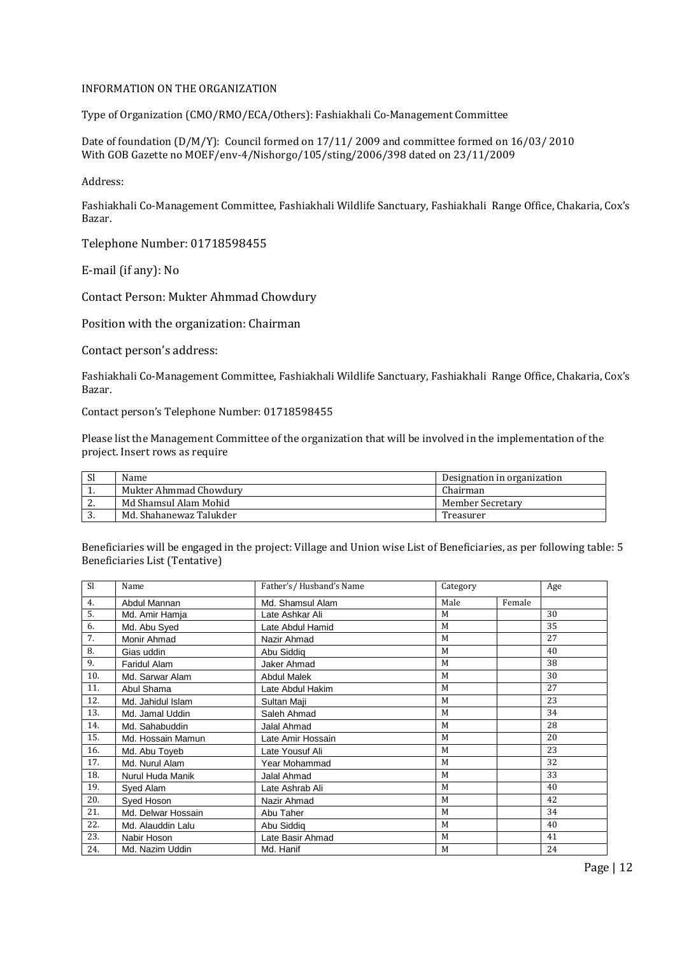#### INFORMATION ON THE ORGANIZATION

Type of Organization (CMO/RMO/ECA/Others): Fashiakhali Co-Management Committee

Date of foundation (D/M/Y): Council formed on 17/11/ 2009 and committee formed on 16/03/ 2010 With GOB Gazette no MOEF/env-4/Nishorgo/105/sting/2006/398 dated on 23/11/2009

Address:

Fashiakhali Co-Management Committee, Fashiakhali Wildlife Sanctuary, Fashiakhali Range Office, Chakaria, Cox's Bazar.

Telephone Number: 01718598455

E-mail (if any): No

Contact Person: Mukter Ahmmad Chowdury

Position with the organization: Chairman

Contact person's address:

Fashiakhali Co-Management Committee, Fashiakhali Wildlife Sanctuary, Fashiakhali Range Office, Chakaria, Cox's Bazar.

Contact person's Telephone Number: 01718598455

Please list the Management Committee of the organization that will be involved in the implementation of the project. Insert rows as require

| Sl       | Name                    | Designation in organization |
|----------|-------------------------|-----------------------------|
| . .      | Mukter Ahmmad Chowdury  | Chairman                    |
| <u>.</u> | Md Shamsul Alam Mohid   | Member Secretary            |
| ູ        | Md. Shahanewaz Talukder | Treasurer                   |

Beneficiaries will be engaged in the project: Village and Union wise List of Beneficiaries, as per following table: 5 Beneficiaries List (Tentative)

| S1  | Name               | Father's/Husband's Name | Category |        | Age |
|-----|--------------------|-------------------------|----------|--------|-----|
| 4.  | Abdul Mannan       | Md. Shamsul Alam        | Male     | Female |     |
| 5.  | Md. Amir Hamja     | Late Ashkar Ali         | M        |        | 30  |
| 6.  | Md. Abu Syed       | Late Abdul Hamid        | M        |        | 35  |
| 7.  | Monir Ahmad        | Nazir Ahmad             | M        |        | 27  |
| 8.  | Gias uddin         | Abu Siddig              | M        |        | 40  |
| 9.  | Faridul Alam       | Jaker Ahmad             | M        |        | 38  |
| 10. | Md. Sarwar Alam    | <b>Abdul Malek</b>      | M        |        | 30  |
| 11. | Abul Shama         | Late Abdul Hakim        | M        |        | 27  |
| 12. | Md. Jahidul Islam  | Sultan Maji             | M        |        | 23  |
| 13. | Md. Jamal Uddin    | Saleh Ahmad             | M        |        | 34  |
| 14. | Md. Sahabuddin     | <b>Jalal Ahmad</b>      | M        |        | 28  |
| 15. | Md. Hossain Mamun  | Late Amir Hossain       | M        |        | 20  |
| 16. | Md. Abu Toyeb      | Late Yousuf Ali         | M        |        | 23  |
| 17. | Md. Nurul Alam     | Year Mohammad           | M        |        | 32  |
| 18. | Nurul Huda Manik   | Jalal Ahmad             | M        |        | 33  |
| 19. | Syed Alam          | Late Ashrab Ali         | M        |        | 40  |
| 20. | Syed Hoson         | Nazir Ahmad             | M        |        | 42  |
| 21. | Md. Delwar Hossain | Abu Taher               | M        |        | 34  |
| 22. | Md. Alauddin Lalu  | Abu Siddig              | M        |        | 40  |
| 23. | Nabir Hoson        | Late Basir Ahmad        | M        |        | 41  |
| 24. | Md. Nazim Uddin    | Md. Hanif               | M        |        | 24  |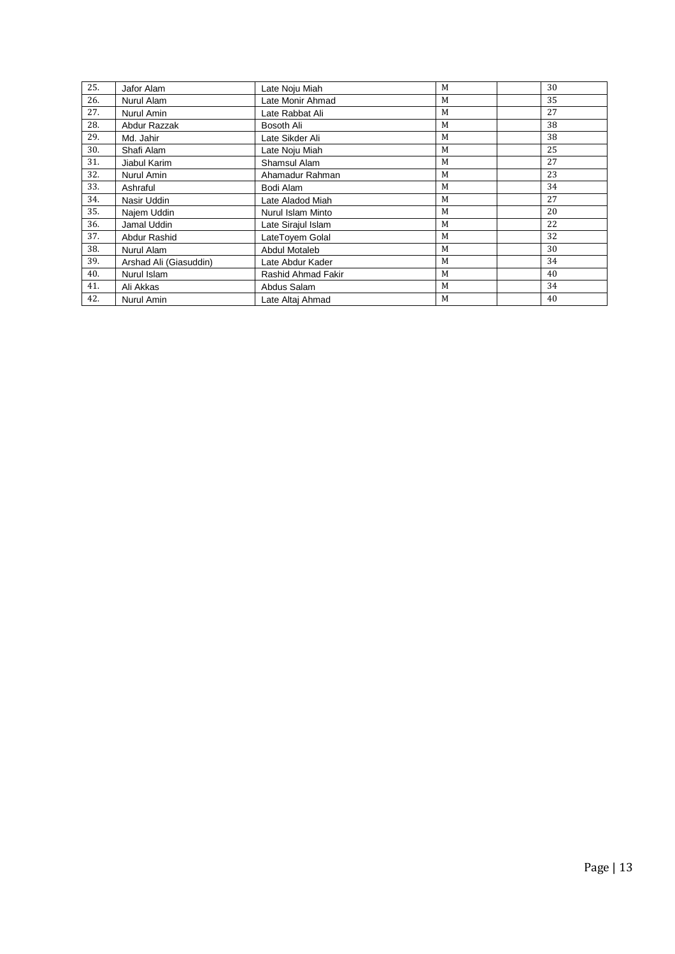| 25. | Jafor Alam             | Late Noju Miah     | M | 30 |
|-----|------------------------|--------------------|---|----|
| 26. | Nurul Alam             | Late Monir Ahmad   | M | 35 |
| 27. | Nurul Amin             | Late Rabbat Ali    | M | 27 |
| 28. | Abdur Razzak           | Bosoth Ali         | M | 38 |
| 29. | Md. Jahir              | Late Sikder Ali    | M | 38 |
| 30. | Shafi Alam             | Late Noju Miah     | M | 25 |
| 31. | Jiabul Karim           | Shamsul Alam       | M | 27 |
| 32. | Nurul Amin             | Ahamadur Rahman    | M | 23 |
| 33. | Ashraful               | Bodi Alam          | M | 34 |
| 34. | Nasir Uddin            | Late Aladod Miah   | M | 27 |
| 35. | Najem Uddin            | Nurul Islam Minto  | M | 20 |
| 36. | Jamal Uddin            | Late Sirajul Islam | M | 22 |
| 37. | Abdur Rashid           | LateToyem Golal    | M | 32 |
| 38. | Nurul Alam             | Abdul Motaleb      | M | 30 |
| 39. | Arshad Ali (Giasuddin) | Late Abdur Kader   | M | 34 |
| 40. | Nurul Islam            | Rashid Ahmad Fakir | M | 40 |
| 41. | Ali Akkas              | Abdus Salam        | M | 34 |
| 42. | Nurul Amin             | Late Altaj Ahmad   | M | 40 |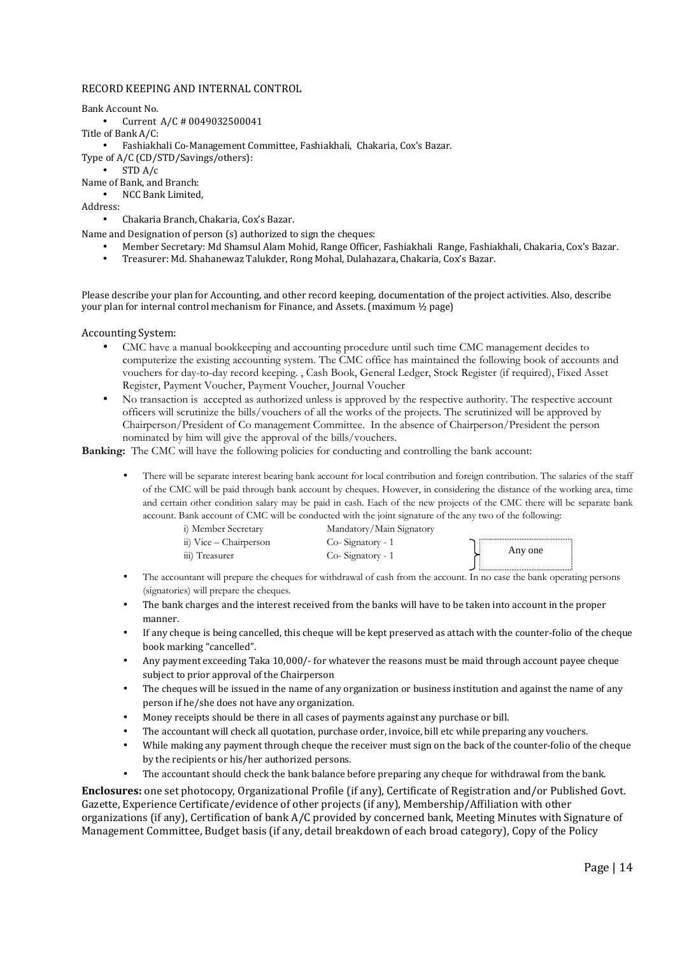#### RECORD KEEPING AND INTERNAL CONTROL

Bank Account No.

- Current A/C # 0049032500041
- Title of Bank A/C:
	- Fashiakhali Co-Management Committee, Fashiakhali, Chakaria, Cox's Bazar.
- Type of A/C (CD/STD/Savings/others):
	- STD A/c

Name of Bank, and Branch: • NCC Bank Limited,

Address:

• Chakaria Branch, Chakaria, Cox's Bazar.

Name and Designation of person (s) authorized to sign the cheques:

- Member Secretary: Md Shamsul Alam Mohid, Range Officer, Fashiakhali Range, Fashiakhali, Chakaria, Cox's Bazar.
- Treasurer: Md. Shahanewaz Talukder, Rong Mohal, Dulahazara, Chakaria, Cox's Bazar.

Please describe your plan for Accounting, and other record keeping, documentation of the project activities. Also, describe your plan for internal control mechanism for Finance, and Assets. (maximum ½ page)

#### Accounting System:

- CMC have a manual bookkeeping and accounting procedure until such time CMC management decides to computerize the existing accounting system. The CMC office has maintained the following book of accounts and vouchers for day-to-day record keeping. , Cash Book, General Ledger, Stock Register (if required), Fixed Asset Register, Payment Voucher, Payment Voucher, Journal Voucher
- No transaction is accepted as authorized unless is approved by the respective authority. The respective account officers will scrutinize the bills/vouchers of all the works of the projects. The scrutinized will be approved by Chairperson/President of Co management Committee. In the absence of Chairperson/President the person nominated by him will give the approval of the bills/vouchers.

**Banking:** The CMC will have the following policies for conducting and controlling the bank account:

• There will be separate interest bearing bank account for local contribution and foreign contribution. The salaries of the staff of the CMC will be paid through bank account by cheques. However, in considering the distance of the working area, time and certain other condition salary may be paid in cash. Each of the new projects of the CMC there will be separate bank account. Bank account of CMC will be conducted with the joint signature of the any two of the following:

| i) Member Secretary    | Mandatory/Main Signatory |         |
|------------------------|--------------------------|---------|
| ii) Vice – Chairperson | Co-Signatory - 1         |         |
| iii) Treasurer         | Co-Signatory - 1         | Any one |
|                        |                          |         |

- The accountant will prepare the cheques for withdrawal of cash from the account. In no case the bank operating persons (signatories) will prepare the cheques.
- The bank charges and the interest received from the banks will have to be taken into account in the proper manner.
- If any cheque is being cancelled, this cheque will be kept preserved as attach with the counter-folio of the cheque book marking "cancelled".
- Any payment exceeding Taka 10,000/- for whatever the reasons must be maid through account payee cheque subject to prior approval of the Chairperson
- The cheques will be issued in the name of any organization or business institution and against the name of any person if he/she does not have any organization.
- Money receipts should be there in all cases of payments against any purchase or bill.
- The accountant will check all quotation, purchase order, invoice, bill etc while preparing any vouchers.
- While making any payment through cheque the receiver must sign on the back of the counter-folio of the cheque by the recipients or his/her authorized persons.
- The accountant should check the bank balance before preparing any cheque for withdrawal from the bank.

**Enclosures:** one set photocopy, Organizational Profile (if any), Certificate of Registration and/or Published Govt. Gazette, Experience Certificate/evidence of other projects (if any), Membership/Affiliation with other organizations (if any), Certification of bank A/C provided by concerned bank, Meeting Minutes with Signature of Management Committee, Budget basis (if any, detail breakdown of each broad category), Copy of the Policy